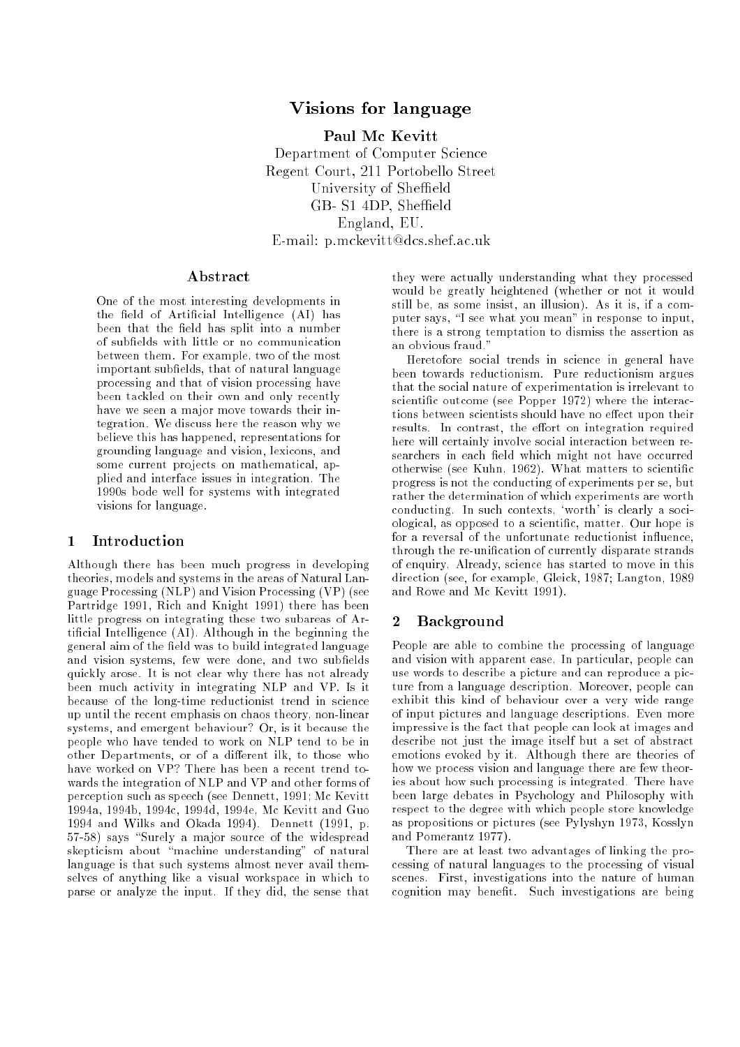# Visions for language

Department of Computer Science Regent Court, 211 Porto Street Court, 211 Porto University of Sheeld GB- S1 4DP, Sheeld England, EU. E-mail: p.mckevitt@dcs.shef.ac.uk

### Abstract

One of the most interesting developments in the field of Artificial Intelligence (AI) has been that the field has split into a number of subfields with little or no communication between them. For example, two of the most important subfields, that of natural language processing and that of vision processing have been tackled on their own and only recently have we seen a major move towards their integration. We discuss here the reason why we believe this has happened, representations for grounding language and vision, lexicons, and some current projects on mathematical, applied and interface issues in integration. The 1990s bode well for systems with integrated visions for language.

#### Introduction  $\mathbf{1}$

Although there has been much progress in developing theories, models and systems in the areas of Natural Language Processing (NLP) and Vision Processing (VP) (see Partridge 1991, Rich and Knight 1991) there has been little progress on integrating these two subareas of Artificial Intelligence  $(AI)$ . Although in the beginning the general aim of the field was to build integrated language and vision systems, few were done, and two subfields quickly arose. It is not clear why there has not already been much activity in integrating NLP and VP. Is it because of the long-time reductionist trend in science up until the recent emphasis on chaos theory, non-linear systems, and emergent behaviour? Or, is it because the people who have tended to work on NLP tend to be in other Departments, or of a different ilk, to those who have worked on VP? There has been a recent trend towards the integration of NLP and VP and other forms of perception such as speech (see Dennett, 1991; Mc Kevitt 1994a, 1994b, 1994c, 1994d, 1994e, Mc Kevitt and Guo 1994 and Wilks and Okada 1994). Dennett (1991, p. 57-58) says "Surely a major source of the widespread skepticism about "machine understanding" of natural language is that such systems almost never avail themselves of anything like a visual workspace in which to parse or analyze the input. If they did, the sense that

they were actually understanding what they processed would be greatly heightened (whether or not it would still be, as some insist, an illusion). As it is, if a computer says, "I see what you mean" in response to input, there is a strong temptation to dismiss the assertion as an obvious fraud."

Heretofore social trends in science in general have been towards reductionism. Pure reductionism argues that the social nature of experimentation is irrelevant to scientic outcome (see Popper 1972) where the interactions between scientists should have no effect upon their results. In contrast, the effort on integration required here will certainly involve social interaction between researchers in each field which might not have occurred otherwise (see Kuhn, 1962). What matters to scientific progress is not the conducting of experiments per se, but rather the determination of which experiments are worth conducting. In such contexts, `worth' is clearly a sociological, as opposed to a scientic, matter. Our hope is for a reversal of the unfortunate reductionist influence, through the re-unication of currently disparate strands of enquiry. Already, science has started to move in this direction (see, for example, Gleick, 1987; Langton, 1989 and Rowe and Mc Kevitt 1991).

#### **Background**  $\overline{2}$

People are able to combine the processing of language and vision with apparent ease. In particular, people can use words to describe a picture and can reproduce a picture from a language description. Moreover, people can exhibit this kind of behaviour over a very wide range of input pictures and language descriptions. Even more impressive is the fact that people can look at images and describe not just the image itself but a set of abstract emotions evoked by it. Although there are theories of how we process vision and language there are few theories about how such processing is integrated. There have been large debates in Psychology and Philosophy with respect to the degree with which people store knowledge as propositions or pictures (see Pylyshyn 1973, Kosslyn and Pomerantz 1977).

There are at least two advantages of linking the processing of natural languages to the processing of visual scenes. First, investigations into the nature of human cognition may benefit. Such investigations are being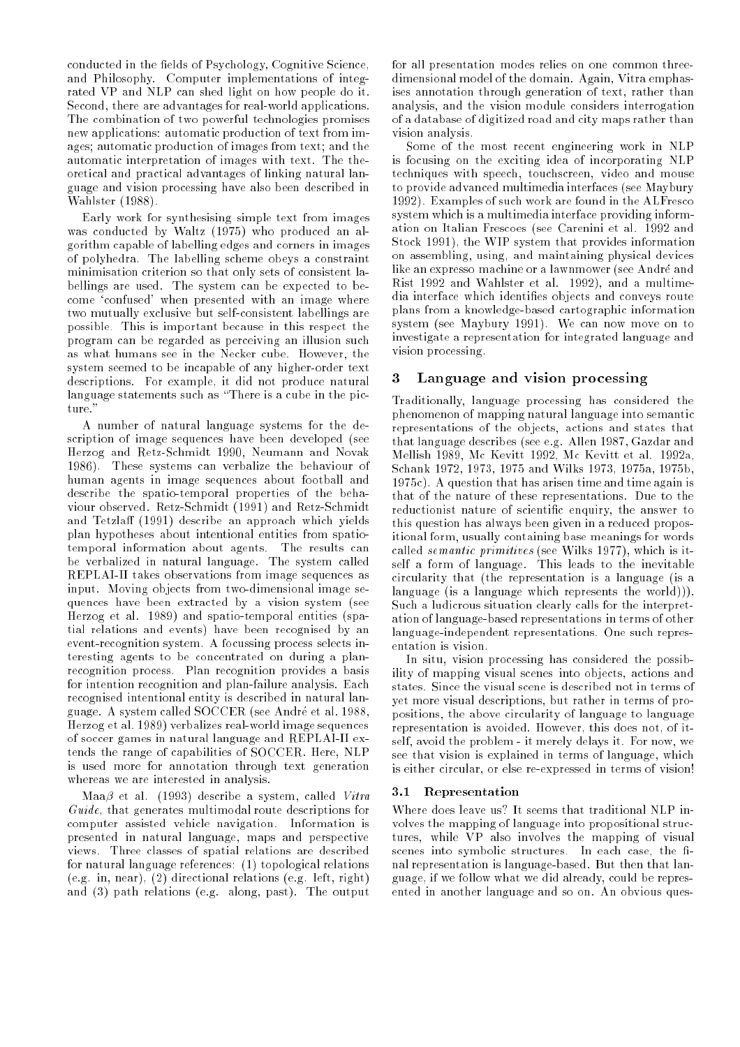conducted in the fields of Psychology, Cognitive Science, and Philosophy. Computer implementations of integrated VP and NLP can shed light on how people do it. Second, there are advantages for real-world applications. The combination of two powerful technologies promises new applications: automatic production of text from images; automatic production of images from text; and the automatic interpretation of images with text. The theoretical and practical advantages of linking natural language and vision processing have also been described in Wahlster (1988).

Early work for synthesising simple text from images was conducted by Waltz (1975) who produced an algorithm capable of labelling edges and corners in images of polyhedra. The labelling scheme obeys a constraint minimisation criterion so that only sets of consistent labellings are used. The system can be expected to become `confused' when presented with an image where two mutually exclusive but self-consistent labellings are possible. This is important because in this respect the program can be regarded as perceiving an illusion such as what humans see in the Necker cube. However, the system seemed to be incapable of any higher-order text descriptions. For example, it did not produce natural language statements such as "There is a cube in the picture."

A number of natural language systems for the description of image sequences have been developed (see Herzog and Retz-Schmidt 1990, Neumann and Novak 1986). These systems can verbalize the behaviour of human agents in image sequences about football and describe the spatio-temporal properties of the behaviour observed. Retz-Schmidt (1991) and Retz-Schmidt and Tetzlaff (1991) describe an approach which yields plan hypotheses about intentional entities from spatiotemporal information about agents. The results can be verbalized in natural language. The system called REPLAI-II takes observations from image sequences as input. Moving objects from two-dimensional image sequences have been extracted by a vision system (see Herzog et al. 1989) and spatio-temporal entities (spatial relations and events) have been recognised by an event-recognition system. A focussing process selects interesting agents to be concentrated on during a planrecognition process. Plan recognition provides a basis for intention recognition and plan-failure analysis. Each recognised intentional entity is described in natural language. A system called SOCCER (see Andre et al. 1988, Herzog et al. 1989) verbalizes real-world image sequences of soccer games in natural language and REPLAI-II extends the range of capabilities of SOCCER. Here, NLP is used more for annotation through text generation whereas we are interested in analysis.

Maa $\beta$  et al. (1993) describe a system, called Vitra Guide, that generates multimodal route descriptions for computer assisted vehicle navigation. Information is presented in natural language, maps and perspective views. Three classes of spatial relations are described for natural language references: (1) topological relations (e.g. in, near), (2) directional relations (e.g. left, right) and (3) path relations (e.g. along, past). The output

for all presentation modes relies on one common threedimensional model of the domain. Again, Vitra emphasises annotation through generation of text, rather than analysis, and the vision module considers interrogation of a database of digitized road and city maps rather than vision analysis.

Some of the most recent engineering work in NLP is focusing on the exciting idea of incorporating NLP techniques with speech, touchscreen, video and mouse to provide advanced multimedia interfaces (see Maybury 1992). Examples of such work are found in the ALFresco system which is a multimedia interface providing information on Italian Frescoes (see Carenini et al. 1992 and Stock 1991), the WIP system that provides information on assembling, using, and maintaining physical devices like an expresso machine or a lawnmower (see Andre and Rist 1992 and Wahlster et al. 1992), and a multimedia interface which identies objects and conveys route plans from a knowledge-based cartographic information system (see Maybury 1991). We can now move on to investigate a representation for integrated language and vision processing.

#### Language and vision processing 3

Traditionally, language processing has considered the phenomenon of mapping natural language into semantic representations of the objects, actions and states that that language describes (see e.g. Allen 1987, Gazdar and Mellish 1989, Mc Kevitt 1992, Mc Kevitt et al. 1992a, Schank 1972, 1973, 1975 and Wilks 1973, 1975a, 1975b, 1975c). A question that has arisen time and time again is that of the nature of these representations. Due to the reductionist nature of scientific enquiry, the answer to this question has always been given in a reduced propositional form, usually containing base meanings for words called semantic primitives (see Wilks 1977), which is itself a form of language. This leads to the inevitable circularity that (the representation is a language (is a language (is a language which represents the world))). Such a ludicrous situation clearly calls for the interpretation of language-based representations in terms of other language-independent representations. One such representation is vision.

In situ, vision processing has considered the possibility of mapping visual scenes into objects, actions and states. Since the visual scene is described not in terms of yet more visual descriptions, but rather in terms of propositions, the above circularity of language to language representation is avoided. However, this does not, of itself, avoid the problem - it merely delays it. For now, we see that vision is explained in terms of language, which is either circular, or else re-expressed in terms of vision!

### 3.1 Representation

Where does leave us? It seems that traditional NLP involves the mapping of language into propositional structures, while VP also involves the mapping of visual scenes into symbolic structures. In each case, the final representation is language-based. But then that language, if we follow what we did already, could be represented in another language and so on. An obvious ques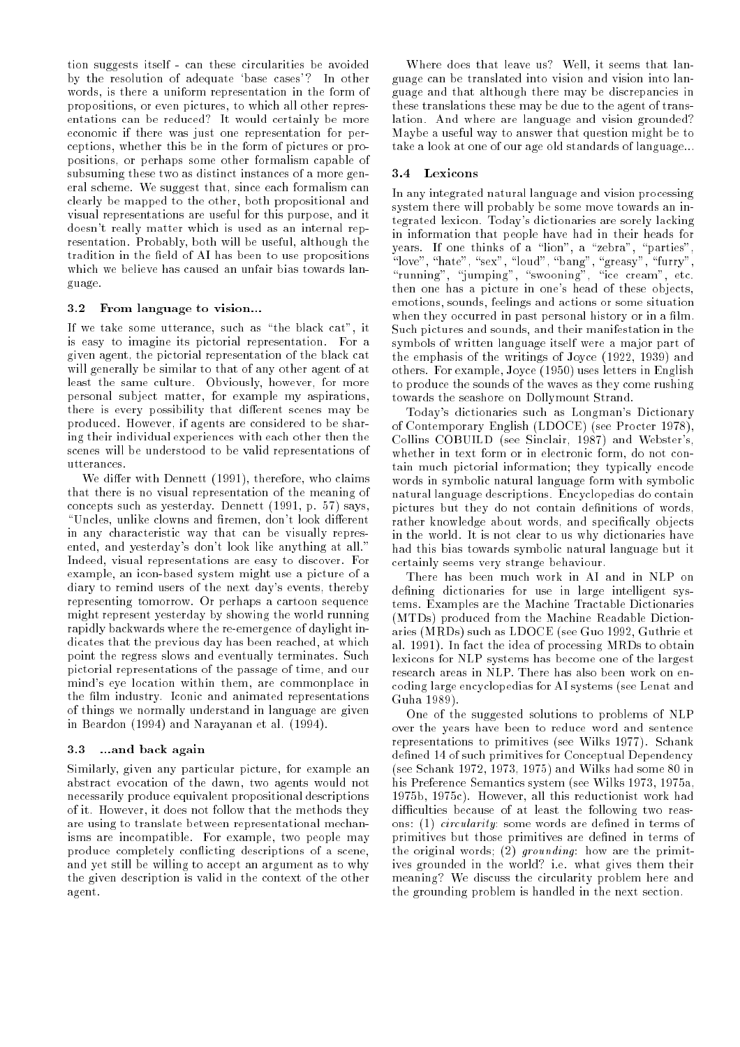tion suggests itself - can these circularities be avoided by the resolution of adequate 'base cases'? In other words, is there a uniform representation in the form of propositions, or even pictures, to which all other representations can be reduced? It would certainly be more economic if there was just one representation for perceptions, whether this be in the form of pictures or propositions, or perhaps some other formalism capable of subsuming these two as distinct instances of a more general scheme. We suggest that, since each formalism can clearly be mapped to the other, both propositional and visual representations are useful for this purpose, and it doesn't really matter which is used as an internal representation. Probably, both will be useful, although the tradition in the field of AI has been to use propositions which we believe has caused an unfair bias towards language.

### 3.2 From language to vision...

If we take some utterance, such as \the black cat", it is easy to imagine its pictorial representation. For a given agent, the pictorial representation of the black cat will generally be similar to that of any other agent of at least the same culture. Obviously, however, for more personal subject matter, for example my aspirations, there is every possibility that different scenes may be produced. However, if agents are considered to be sharing their individual experiences with each other then the scenes will be understood to be valid representations of utterances.

We differ with Dennett (1991), therefore, who claims that there is no visual representation of the meaning of concepts such as yesterday. Dennett (1991, p. 57) says, "Uncles, unlike clowns and firemen, don't look different in any characteristic way that can be visually represented, and yesterday's don't look like anything at all." Indeed, visual representations are easy to discover. For example, an icon-based system might use a picture of a diary to remind users of the next day's events, thereby representing tomorrow. Or perhaps a cartoon sequence might represent yesterday by showing the world running rapidly backwards where the re-emergence of daylight indicates that the previous day has been reached, at which point the regress slows and eventually terminates. Such pictorial representations of the passage of time, and our mind's eye location within them, are commonplace in the film industry. Iconic and animated representations of things we normally understand in language are given in Beardon (1994) and Narayanan et al. (1994).

## 3.3 ...and back again

Similarly, given any particular picture, for example an abstract evocation of the dawn, two agents would not necessarily produce equivalent propositional descriptions of it. However, it does not follow that the methods they are using to translate between representational mechanisms are incompatible. For example, two people may produce completely conflicting descriptions of a scene, and yet still be willing to accept an argument as to why the given description is valid in the context of the other agent.

Where does that leave us? Well, it seems that language can be translated into vision and vision into language and that although there may be discrepancies in these translations these may be due to the agent of translation. And where are language and vision grounded? Maybe a useful way to answer that question might be to take a look at one of our age old standards of language...

## 3.4 Lexicons

In any integrated natural language and vision processing system there will probably be some move towards an integrated lexicon. Today's dictionaries are sorely lacking in information that people have had in their heads for years. If one thinks of a "lion", a "zebra", "parties", \love", \hate", \sex", \loud", \bang", \greasy", \furry",  $\sim$  , and a substitution of the cream  $\sim$  . The cream is contained to create create cream  $\sim$ then one has a picture in one's head of these objects, emotions, sounds, feelings and actions or some situation when they occurred in past personal history or in a film. Such pictures and sounds, and their manifestation in the symbols of written language itself were a major part of the emphasis of the writings of Joyce (1922, 1939) and others. For example, Joyce (1950) uses letters in English to produce the sounds of the waves as they come rushing towards the seashore on Dollymount Strand.

Today's dictionaries such as Longman's Dictionary of Contemporary English (LDOCE) (see Procter 1978), Collins COBUILD (see Sinclair, 1987) and Webster's, whether in text form or in electronic form, do not contain much pictorial information; they typically encode words in symbolic natural language form with symbolic natural language descriptions. Encyclopedias do contain pictures but they do not contain definitions of words, rather knowledge about words, and specifically objects in the world. It is not clear to us why dictionaries have had this bias towards symbolic natural language but it certainly seems very strange behaviour.

There has been much work in AI and in NLP on defining dictionaries for use in large intelligent systems. Examples are the Machine Tractable Dictionaries (MTDs) produced from the Machine Readable Dictionaries (MRDs) such as LDOCE (see Guo 1992, Guthrie et al. 1991). In fact the idea of processing MRDs to obtain lexicons for NLP systems has become one of the largest research areas in NLP. There has also been work on encoding large encyclopedias for AI systems (see Lenat and Guha 1989).

One of the suggested solutions to problems of NLP over the years have been to reduce word and sentence representations to primitives (see Wilks 1977). Schank defined 14 of such primitives for Conceptual Dependency (see Schank 1972, 1973, 1975) and Wilks had some 80 in his Preference Semantics system (see Wilks 1973, 1975a, 1975b, 1975c). However, all this reductionist work had difficulties because of at least the following two reasons: (1) *circularity*: some words are defined in terms of primitives but those primitives are defined in terms of the original words; (2) *grounding*: how are the primitives grounded in the world? i.e. what gives them their meaning? We discuss the circularity problem here and the grounding problem is handled in the next section.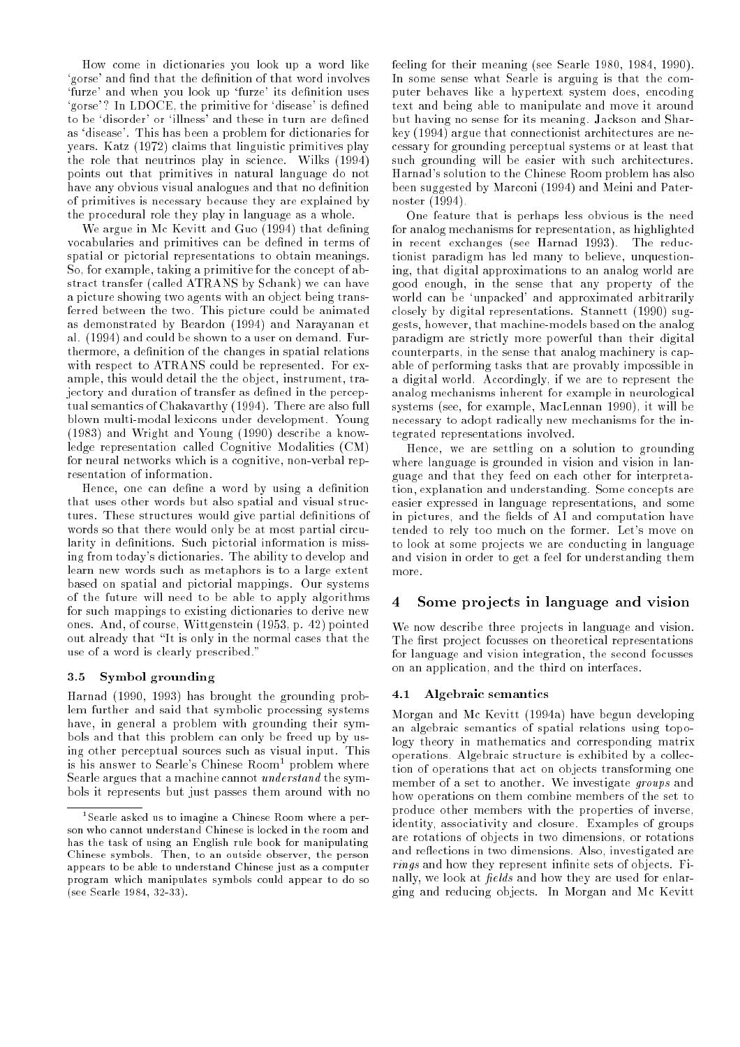How come in dictionaries you look up a word like 'gorse' and find that the definition of that word involves 'furze' and when you look up 'furze' its definition uses 'gorse'? In LDOCE, the primitive for 'disease' is defined to be 'disorder' or 'illness' and these in turn are defined as `disease'. This has been a problem for dictionaries for years. Katz (1972) claims that linguistic primitives play the role that neutrinos play in science. Wilks (1994) points out that primitives in natural language do not have any obvious visual analogues and that no definition of primitives is necessary because they are explained by the procedural role they play in language as a whole.

We argue in Mc Kevitt and Guo (1994) that defining vocabularies and primitives can be defined in terms of spatial or pictorial representations to obtain meanings. So, for example, taking a primitive for the concept of abstract transfer (called ATRANS by Schank) we can have a picture showing two agents with an object being transferred between the two. This picture could be animated as demonstrated by Beardon (1994) and Narayanan et al. (1994) and could be shown to a user on demand. Furthermore, a definition of the changes in spatial relations with respect to ATRANS could be represented. For example, this would detail the the object, instrument, trajectory and duration of transfer as defined in the perceptual semantics of Chakavarthy (1994). There are also full blown multi-modal lexicons under development. Young (1983) and Wright and Young (1990) describe a knowledge representation called Cognitive Modalities (CM) for neural networks which is a cognitive, non-verbal representation of information.

Hence, one can define a word by using a definition that uses other words but also spatial and visual structures. These structures would give partial definitions of words so that there would only be at most partial circularity in definitions. Such pictorial information is missing from today's dictionaries. The ability to develop and learn new words such as metaphors is to a large extent based on spatial and pictorial mappings. Our systems of the future will need to be able to apply algorithms for such mappings to existing dictionaries to derive new ones. And, of course, Wittgenstein (1953, p. 42) pointed out already that \It is only in the normal cases that the use of a word is clearly prescribed."

### 3.5 Symbol grounding

Harnad (1990, 1993) has brought the grounding problem further and said that symbolic processing systems have, in general a problem with grounding their symbols and that this problem can only be freed up by using other perceptual sources such as visual input. This is his answer to Searle's Chinese Room<sup>1</sup> problem where Searle argues that a machine cannot understand the symbols it represents but just passes them around with no

feeling for their meaning (see Searle 1980, 1984, 1990). In some sense what Searle is arguing is that the computer behaves like a hypertext system does, encoding text and being able to manipulate and move it around but having no sense for its meaning. Jackson and Sharkey (1994) argue that connectionist architectures are necessary for grounding perceptual systems or at least that such grounding will be easier with such architectures. Harnad's solution to the Chinese Room problem has also been suggested by Marconi (1994) and Meini and Paternoster (1994).

One feature that is perhaps less obvious is the need for analog mechanisms for representation, as highlighted in recent exchanges (see Harnad 1993). The reductionist paradigm has led many to believe, unquestioning, that digital approximations to an analog world are good enough, in the sense that any property of the world can be `unpacked' and approximated arbitrarily closely by digital representations. Stannett (1990) suggests, however, that machine-models based on the analog paradigm are strictly more powerful than their digital counterparts, in the sense that analog machinery is capable of performing tasks that are provably impossible in a digital world. Accordingly, if we are to represent the analog mechanisms inherent for example in neurological systems (see, for example, MacLennan 1990), it will be necessary to adopt radically new mechanisms for the integrated representations involved.

Hence, we are settling on a solution to grounding where language is grounded in vision and vision in language and that they feed on each other for interpretation, explanation and understanding. Some concepts are easier expressed in language representations, and some in pictures, and the fields of AI and computation have tended to rely too much on the former. Let's move on to look at some projects we are conducting in language and vision in order to get a feel for understanding them more.

## 4 Some pro jects in language and vision

We now describe three projects in language and vision. The first project focusses on theoretical representations for language and vision integration, the second focusses on an application, and the third on interfaces.

### 4.1 Algebraic semantics

Morgan and Mc Kevitt (1994a) have begun developing an algebraic semantics of spatial relations using topology theory in mathematics and corresponding matrix operations. Algebraic structure is exhibited by a collection of operations that act on objects transforming one member of a set to another. We investigate groups and how operations on them combine members of the set to produce other members with the properties of inverse, identity, associativity and closure. Examples of groups are rotations of objects in two dimensions, or rotations and reflections in two dimensions. Also, investigated are  $rings$  and how they represent infinite sets of objects. Finally, we look at  $fields$  and how they are used for enlarging and reducing objects. In Morgan and Mc Kevitt

<sup>1</sup> Searle asked us to imagine a Chinese Room where a person who cannot understand Chinese is locked in the room andhas the task of using an English rule book for manipulating Chinese symbols. Then, to an outside observer, the person appears to be able to understand Chinese just as a computerprogram which manipulates symbols could appear to do so (see Searle 1984, 32-33).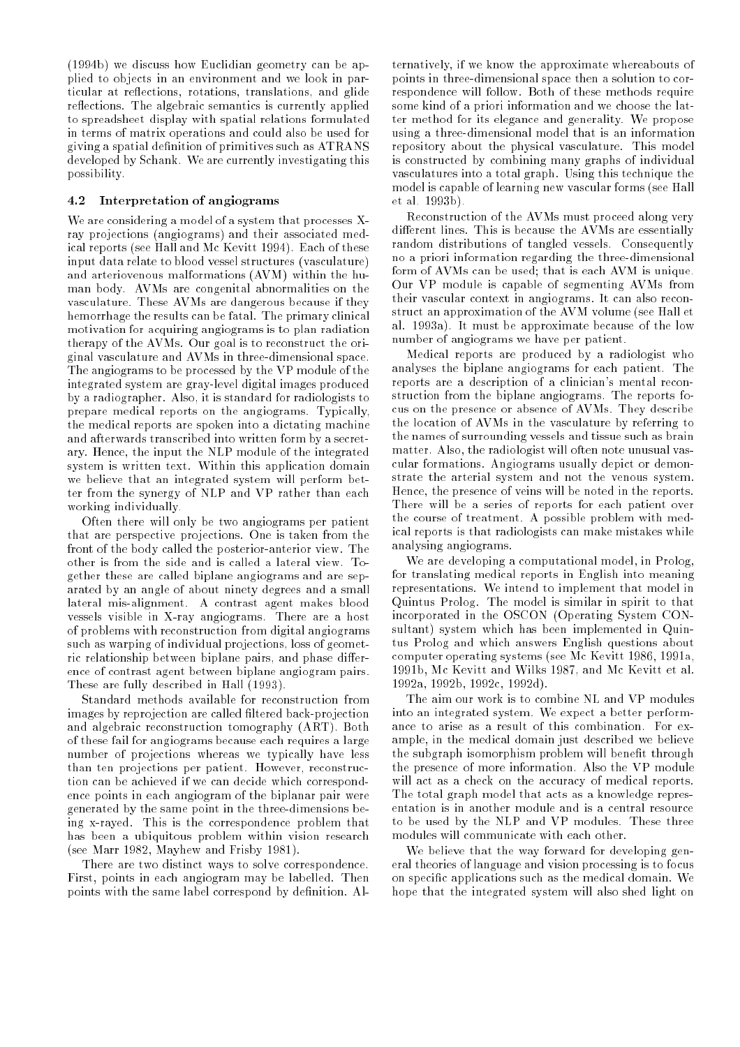(1994b) we discuss how Euclidian geometry can be applied to objects in an environment and we look in particular at reflections, rotations, translations, and glide reflections. The algebraic semantics is currently applied to spreadsheet display with spatial relations formulated in terms of matrix operations and could also be used for giving a spatial definition of primitives such as ATRANS developed by Schank. We are currently investigating this possibility.

## 4.2 Interpretation of angiograms

We are considering a model of a system that processes Xray projections (angiograms) and their associated medical reports (see Hall and Mc Kevitt 1994). Each of these input data relate to blood vessel structures (vasculature) and arteriovenous malformations (AVM) within the human body. AVMs are congenital abnormalities on the vasculature. These AVMs are dangerous because if they hemorrhage the results can be fatal. The primary clinical motivation for acquiring angiograms is to plan radiation therapy of the AVMs. Our goal is to reconstruct the original vasculature and AVMs in three-dimensional space. The angiograms to be processed by the VP module of the integrated system are gray-level digital images produced by a radiographer. Also, it is standard for radiologists to prepare medical reports on the angiograms. Typically, the medical reports are spoken into a dictating machine and afterwards transcribed into written form by a secretary. Hence, the input the NLP module of the integrated system is written text. Within this application domain we believe that an integrated system will perform better from the synergy of NLP and VP rather than each working individually.

Often there will only be two angiograms per patient that are perspective projections. One is taken from the front of the body called the posterior-anterior view. The other is from the side and is called a lateral view. Together these are called biplane angiograms and are separated by an angle of about ninety degrees and a small lateral mis-alignment. A contrast agent makes blood vessels visible in X-ray angiograms. There are a host of problems with reconstruction from digital angiograms such as warping of individual projections, loss of geometric relationship between biplane pairs, and phase difference of contrast agent between biplane angiogram pairs. These are fully described in Hall (1993).

Standard methods available for reconstruction from images by reprojection are called filtered back-projection and algebraic reconstruction tomography (ART). Both of these fail for angiograms because each requires a large number of projections whereas we typically have less than ten projections per patient. However, reconstruction can be achieved if we can decide which correspondence points in each angiogram of the biplanar pair were generated by the same point in the three-dimensions being x-rayed. This is the correspondence problem that has been a ubiquitous problem within vision research (see Marr 1982, Mayhew and Frisby 1981).

There are two distinct ways to solve correspondence. First, points in each angiogram may be labelled. Then points with the same label correspond by definition. Al-

ternatively, if we know the approximate whereabouts of points in three-dimensional space then a solution to correspondence will follow. Both of these methods require some kind of a priori information and we choose the latter method for its elegance and generality. We propose using a three-dimensional model that is an information repository about the physical vasculature. This model is constructed by combining many graphs of individual vasculatures into a total graph. Using this technique the model is capable of learning new vascular forms (see Hall et al. 1993b).

Reconstruction of the AVMs must proceed along very different lines. This is because the AVMs are essentially random distributions of tangled vessels. Consequently no a priori information regarding the three-dimensional form of AVMs can be used; that is each AVM is unique. Our VP module is capable of segmenting AVMs from their vascular context in angiograms. It can also reconstruct an approximation of the AVM volume (see Hall et al. 1993a). It must be approximate because of the low number of angiograms we have per patient.

Medical reports are produced by a radiologist who analyses the biplane angiograms for each patient. The reports are a description of a clinician's mental reconstruction from the biplane angiograms. The reports focus on the presence or absence of AVMs. They describe the location of AVMs in the vasculature by referring to the names of surrounding vessels and tissue such as brain matter. Also, the radiologist will often note unusual vascular formations. Angiograms usually depict or demonstrate the arterial system and not the venous system. Hence, the presence of veins will be noted in the reports. There will be a series of reports for each patient over the course of treatment. A possible problem with medical reports is that radiologists can make mistakes while analysing angiograms.

We are developing a computational model, in Prolog, for translating medical reports in English into meaning representations. We intend to implement that model in Quintus Prolog. The model is similar in spirit to that incorporated in the OSCON (Operating System CONsultant) system which has been implemented in Quintus Prolog and which answers English questions about computer operating systems (see Mc Kevitt 1986, 1991a, 1991b, Mc Kevitt and Wilks 1987, and Mc Kevitt et al. 1992a, 1992b, 1992c, 1992d).

The aim our work is to combine NL and VP modules into an integrated system. We expect a better performance to arise as a result of this combination. For example, in the medical domain just described we believe the subgraph isomorphism problem will benefit through the presence of more information. Also the VP module will act as a check on the accuracy of medical reports. The total graph model that acts as a knowledge representation is in another module and is a central resource to be used by the NLP and VP modules. These three modules will communicate with each other.

We believe that the way forward for developing general theories of language and vision processing is to focus on specic applications such as the medical domain. We hope that the integrated system will also shed light on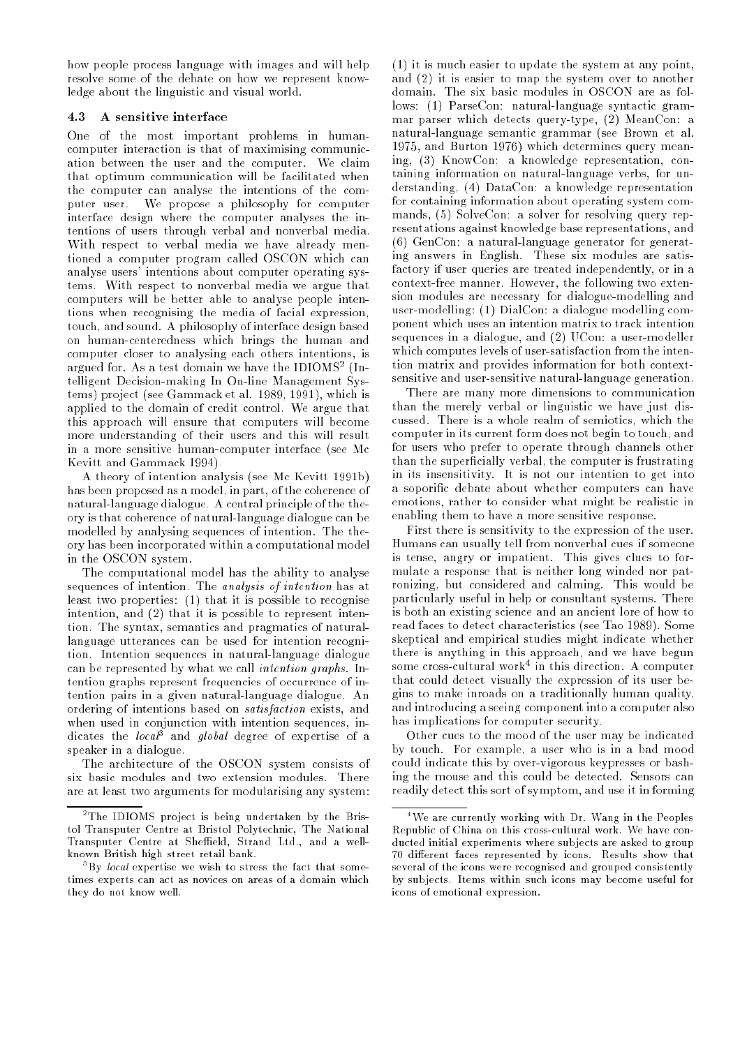how people process language with images and will help resolve some of the debate on how we represent knowledge about the linguistic and visual world.

## 4.3 A sensitive interface

One of the most important problems in humancomputer interaction is that of maximising communication between the user and the computer. We claim that optimum communication will be facilitated when the computer can analyse the intentions of the computer user. We propose a philosophy for computer interface design where the computer analyses the intentions of users through verbal and nonverbal media. With respect to verbal media we have already mentioned a computer program called OSCON which can analyse users' intentions about computer operating systems. With respect to nonverbal media we argue that computers will be better able to analyse people intentions when recognising the media of facial expression, touch, and sound. A philosophy of interface design based on human-centeredness which brings the human and computer closer to analysing each others intentions, is argued for. As a test domain we have the IDIOMS + (Intelligent Decision-making In On-line Management Systems) project (see Gammack et al. 1989, 1991), which is applied to the domain of credit control. We argue that this approach will ensure that computers will become more understanding of their users and this will result in a more sensitive human-computer interface (see Mc Kevitt and Gammack 1994).

A theory of intention analysis (see Mc Kevitt 1991b) has been proposed as a model, in part, of the coherence of natural-language dialogue. A central principle of the theory is that coherence of natural-language dialogue can be modelled by analysing sequences of intention. The theory has been incorporated within a computational model in the OSCON system.

The computational model has the ability to analyse sequences of intention. The analysis of intention has at least two properties: (1) that it is possible to recognise intention, and (2) that it is possible to represent intention. The syntax, semantics and pragmatics of naturallanguage utterances can be used for intention recognition. Intention sequences in natural-language dialogue can be represented by what we call intention graphs. Intention graphs represent frequencies of occurrence of intention pairs in a given natural-language dialogue. An ordering of intentions based on satisfaction exists, and when used in conjunction with intention sequences, indicates the *local* and *quodu* degree of expertise of a speaker in a dialogue.

The architecture of the OSCON system consists of six basic modules and two extension modules. There are at least two arguments for modularising any system:

(1) it is much easier to update the system at any point, and (2) it is easier to map the system over to another domain. The six basic modules in OSCON are as follows: (1) ParseCon: natural-language syntactic grammar parser which detects query-type, (2) MeanCon: a natural-language semantic grammar (see Brown et al. 1975, and Burton 1976) which determines query meaning, (3) KnowCon: a knowledge representation, containing information on natural-language verbs, for understanding, (4) DataCon: a knowledge representation for containing information about operating system commands, (5) SolveCon: a solver for resolving query representations against knowledge base representations, and (6) GenCon: a natural-language generator for generating answers in English. These six modules are satisfactory if user queries are treated independently, or in a context-free manner. However, the following two extension modules are necessary for dialogue-modelling and user-modelling: (1) DialCon: a dialogue modelling component which uses an intention matrix to track intention sequences in a dialogue, and (2) UCon: a user-modeller which computes levels of user-satisfaction from the intention matrix and provides information for both contextsensitive and user-sensitive natural-language generation.

There are many more dimensions to communication than the merely verbal or linguistic we have just discussed. There is a whole realm of semiotics, which the computer in its current form does not begin to touch, and for users who prefer to operate through channels other than the superficially verbal, the computer is frustrating in its insensitivity. It is not our intention to get into a soporic debate about whether computers can have emotions, rather to consider what might be realistic in enabling them to have a more sensitive response.

First there is sensitivity to the expression of the user. Humans can usually tell from nonverbal cues if someone is tense, angry or impatient. This gives clues to formulate a response that is neither long winded nor patronizing, but considered and calming. This would be particularly useful in help or consultant systems. There is both an existing science and an ancient lore of how to read faces to detect characteristics (see Tao 1989). Some skeptical and empirical studies might indicate whether there is anything in this approach, and we have begun some cross-cultural work the this direction. A computer that could detect visually the expression of its user begins to make inroads on a traditionally human quality, and introducing a seeing component into a computer also has implications for computer security.

Other cues to the mood of the user may be indicated by touch. For example, a user who is in a bad mood could indicate this by over-vigorous keypresses or bashing the mouse and this could be detected. Sensors can readily detect this sort of symptom, and use it in forming

<sup>2</sup> The IDIOMS pro ject is being undertaken by the Bristol Transputer Centre at Bristol Polytechnic, The National Transputer Centre at Sheeld, Strand Linds, Strand Ltd., Strand Ltd., Strand Ltd., Strand Ltd., Strand Ltd., St known British high street retail bank.

 $\,$  -By *local* expertise we wish to stress the fact that sometimes experts can act as novices on areas of a domain whichthey do not know we we have

we are currently working with Dr. Wang in the Peoples Republic of China on this cross-cultural work. We have conducted initial experiments where sub jects are asked to group 70 dierent faces represented by icons. Results show that several of the icons were recognised and grouped consistently by sub jects. Items within such icons may become useful for icons of emotional expression.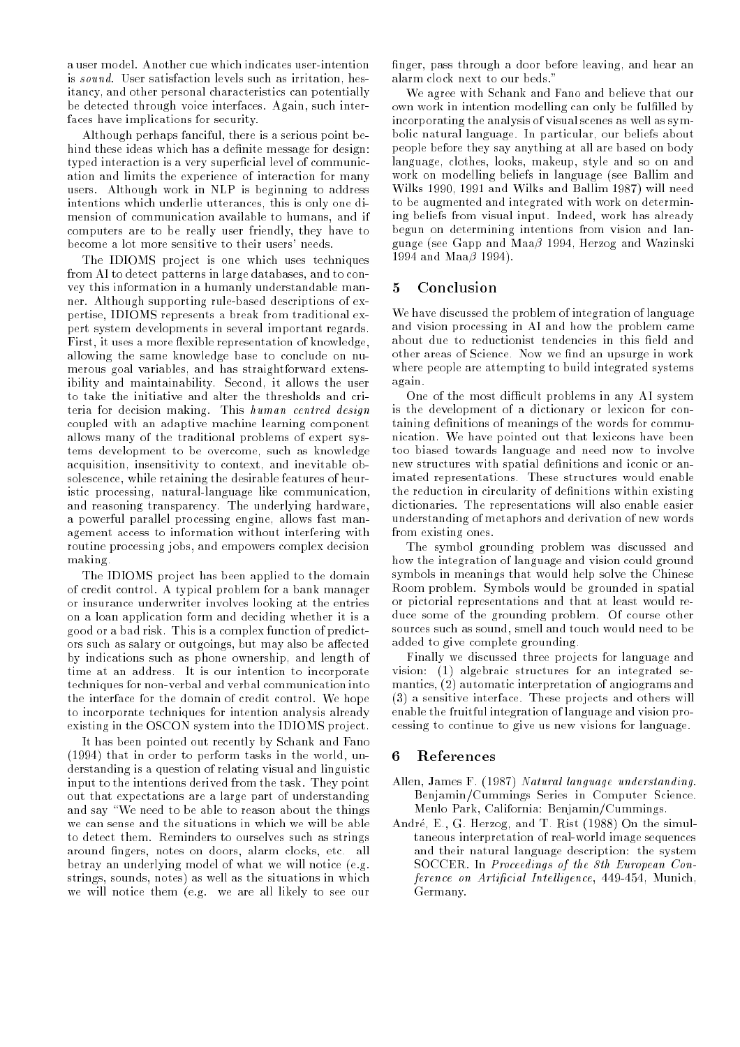a user model. Another cue which indicates user-intention is sound. User satisfaction levels such as irritation, hesitancy, and other personal characteristics can potentially be detected through voice interfaces. Again, such interfaces have implications for security.

Although perhaps fanciful, there is a serious point behind these ideas which has a definite message for design: typed interaction is a very superficial level of communication and limits the experience of interaction for many users. Although work in NLP is beginning to address intentions which underlie utterances, this is only one dimension of communication available to humans, and if computers are to be really user friendly, they have to become a lot more sensitive to their users' needs.

The IDIOMS project is one which uses techniques from AI to detect patterns in large databases, and to convey this information in a humanly understandable manner. Although supporting rule-based descriptions of expertise, IDIOMS represents a break from traditional expert system developments in several important regards. First, it uses a more flexible representation of knowledge, allowing the same knowledge base to conclude on numerous goal variables, and has straightforward extensibility and maintainability. Second, it allows the user to take the initiative and alter the thresholds and criteria for decision making. This human centred design coupled with an adaptive machine learning component allows many of the traditional problems of expert systems development to be overcome, such as knowledge acquisition, insensitivity to context, and inevitable obsolescence, while retaining the desirable features of heuristic processing, natural-language like communication, and reasoning transparency. The underlying hardware, a powerful parallel processing engine, allows fast management access to information without interfering with routine processing jobs, and empowers complex decision making.

The IDIOMS project has been applied to the domain of credit control. A typical problem for a bank manager or insurance underwriter involves looking at the entries on a loan application form and deciding whether it is a good or a bad risk. This is a complex function of predictors such as salary or outgoings, but may also be affected by indications such as phone ownership, and length of time at an address. It is our intention to incorporate techniques for non-verbal and verbal communication into the interface for the domain of credit control. We hope to incorporate techniques for intention analysis already existing in the OSCON system into the IDIOMS project.

It has been pointed out recently by Schank and Fano (1994) that in order to perform tasks in the world, understanding is a question of relating visual and linguistic input to the intentions derived from the task. They point out that expectations are a large part of understanding and say "We need to be able to reason about the things we can sense and the situations in which we will be able to detect them. Reminders to ourselves such as strings around fingers, notes on doors, alarm clocks, etc. all betray an underlying model of what we will notice (e.g. strings, sounds, notes) as well as the situations in which we will notice them (e.g. we are all likely to see our

finger, pass through a door before leaving, and hear an alarm clock next to our beds."

We agree with Schank and Fano and believe that our own work in intention modelling can only be fulfilled by incorporating the analysis of visual scenes as well as symbolic natural language. In particular, our beliefs about people before they say anything at all are based on body language, clothes, looks, makeup, style and so on and work on modelling beliefs in language (see Ballim and Wilks 1990, 1991 and Wilks and Ballim 1987) will need to be augmented and integrated with work on determining beliefs from visual input. Indeed, work has already begun on determining intentions from vision and language (see Gapp and Maa $\beta$  1994, Herzog and Wazinski 1994 and Maa $\beta$  1994).

#### **Conclusion** 5

We have discussed the problem of integration of language and vision processing in AI and how the problem came about due to reductionist tendencies in this field and other areas of Science. Now we find an upsurge in work where people are attempting to build integrated systems again.

One of the most difficult problems in any AI system is the development of a dictionary or lexicon for containing definitions of meanings of the words for communication. We have pointed out that lexicons have been too biased towards language and need now to involve new structures with spatial definitions and iconic or animated representations. These structures would enable the reduction in circularity of definitions within existing dictionaries. The representations will also enable easier understanding of metaphors and derivation of new words from existing ones.

The symbol grounding problem was discussed and how the integration of language and vision could ground symbols in meanings that would help solve the Chinese Room problem. Symbols would be grounded in spatial or pictorial representations and that at least would reduce some of the grounding problem. Of course other sources such as sound, smell and touch would need to be added to give complete grounding.

Finally we discussed three projects for language and vision: (1) algebraic structures for an integrated semantics, (2) automatic interpretation of angiograms and (3) a sensitive interface. These projects and others will enable the fruitful integration of language and vision processing to continue to give us new visions for language.

#### 6. **References**

- Allen, James F. (1987) Natural language understanding. Benjamin/Cummings Series in Computer Science. Menlo Park, California: Benjamin/Cummings.
- André, E., G. Herzog, and T. Rist (1988) On the simultaneous interpretation of real-world image sequences and their natural language description: the system SOCCER. In Proceedings of the 8th European Conference on Artificial Intelligence, 449-454, Munich, Germany.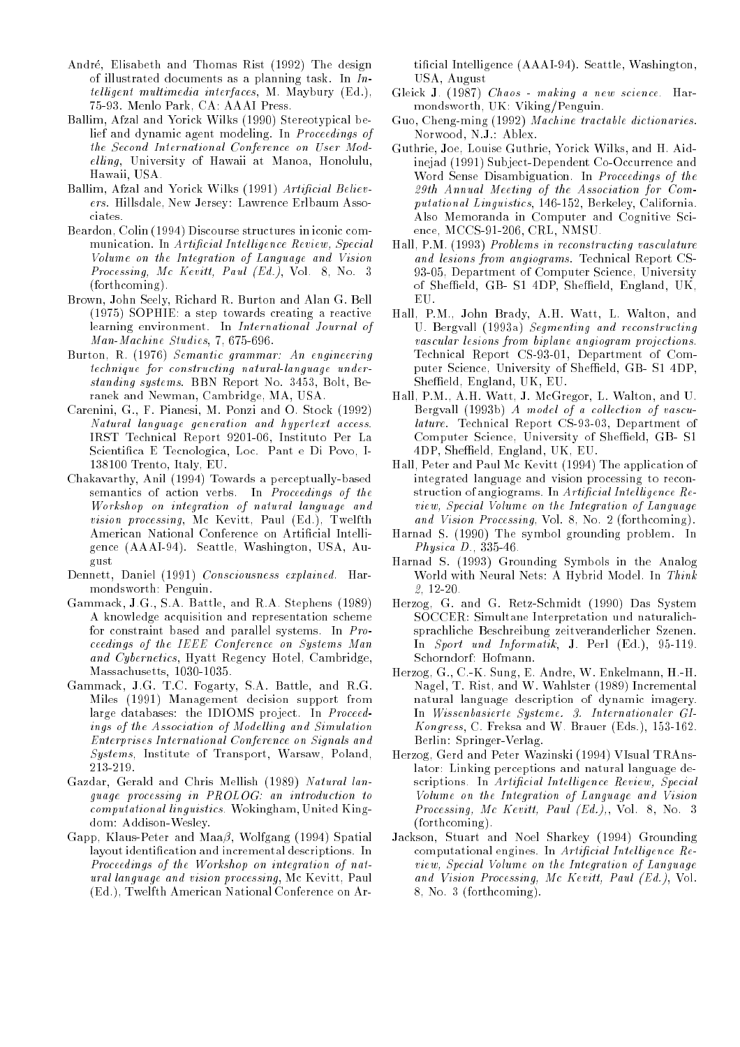- Andre, Elisabeth and Thomas Rist (1992) The design of illustrated documents as a planning task. In Intelligent multimedia interfaces, M. Maybury (Ed.), 75-93. Menlo Park, CA: AAAI Press.
- Ballim, Afzal and Yorick Wilks (1990) Stereotypical belief and dynamic agent modeling. In Proceedings of the Second International Conference on User Modelling, University of Hawaii at Manoa, Honolulu, Hawaii, USA.
- Ballim, Afzal and Yorick Wilks (1991) Artificial Believers. Hillsdale, New Jersey: Lawrence Erlbaum Associates
- Beardon, Colin (1994) Discourse structures in iconic communication. In Artificial Intelligence Review, Special Volume on the Integration of Language and Vision Processing, Mc Kevitt, Paul (Ed.), Vol. 8, No. 3 (forthcoming).
- Brown, John Seely, Richard R. Burton and Alan G. Bell (1975) SOPHIE: a step towards creating a reactive learning environment. In International Journal of Man-Machine Studies, 7, 675-696.
- Burton, R. (1976) Semantic grammar: An engineering technique for constructing natural-language understanding systems. BBN Report No. 3453, Bolt, Beranek and Newman, Cambridge, MA, USA.
- Carenini, G., F. Pianesi, M. Ponzi and O. Stock (1992) Natural language generation and hypertext access. IRST Technical Report 9201-06, Instituto Per La Scientifica E Tecnologica, Loc. Pant e Di Povo, I-138100 Trento, Italy, EU.
- Chakavarthy, Anil (1994) Towards a perceptually-based semantics of action verbs. In Proceedings of the Workshop on integration of natural language and vision processing, Mc Kevitt, Paul (Ed.), Twelfth American National Conference on Artificial Intelligence (AAAI-94). Seattle, Washington, USA, August
- Dennett, Daniel (1991) Consciousness explained. Harmondsworth: Penguin.
- Gammack, J.G., S.A. Battle, and R.A. Stephens (1989) A knowledge acquisition and representation scheme for constraint based and parallel systems. In Proceedings of the IEEE Conference on Systems Man and Cybernetics, Hyatt Regency Hotel, Cambridge, Massachusetts, 1030-1035.
- Gammack, J.G. T.C. Fogarty, S.A. Battle, and R.G. Miles (1991) Management decision support from large databases: the IDIOMS project. In Proceedings of the Association of Modelling and Simulation Enterprises International Conference on Signals and Systems, Institute of Transport, Warsaw, Poland, 213-219.
- Gazdar, Gerald and Chris Mellish (1989) Natural language processing in PROLOG: an introduction to computational linguistics. Wokingham, United Kingdom: Addison-Wesley.
- Gapp, Klaus-Peter and Maa $\beta$ , Wolfgang (1994) Spatial layout identication and incremental descriptions. In Proceedings of the Workshop on integration of natural language and vision processing, Mc Kevitt, Paul (Ed.), Twelfth American National Conference on Ar-

ticial Intelligence (AAAI-94). Seattle, Washington, USA, August

- Gleick J. (1987) Chaos making a new science. Harmondsworth, UK: Viking/Penguin.
- Guo, Cheng-ming (1992) Machine tractable dictionaries. Norwood, N.J.: Ablex.
- Guthrie, Joe, Louise Guthrie, Yorick Wilks, and H. Aidinejad (1991) Subject-Dependent Co-Occurrence and Word Sense Disambiguation. In Proceedings of the 29th Annual Meeting of the Association for Computational Linguistics, 146-152, Berkeley, California. Also Memoranda in Computer and Cognitive Science, MCCS-91-206, CRL, NMSU.
- Hall, P.M. (1993) Problems in reconstructing vasculature and lesions from angiograms. Technical Report CS-93-05, Department of Computer Science, University of Sheffield, GB- S1 4DP, Sheffield, England, UK, EU.
- Hall, P.M., John Brady, A.H. Watt, L. Walton, and U. Bergvall (1993a) Segmenting and reconstructing vascular lesions from biplane angiogram projections. Technical Report CS-93-01, Department of Computer Science, University of Sheffield, GB- S1 4DP, Sheffield, England, UK, EU.
- Hall, P.M., A.H. Watt, J. McGregor, L. Walton, and U. Bergvall (1993b)  $A$  model of a collection of vasculature. Technical Report CS-93-03, Department of Computer Science, University of Sheffield, GB- S1 4DP, Sheffield, England, UK, EU.
- Hall, Peter and Paul Mc Kevitt (1994) The application of integrated language and vision processing to reconstruction of angiograms. In Artificial Intelligence  $Re$ view, Special Volume on the Integration of Language and Vision Processing, Vol. 8, No. 2 (forthcoming).
- Harnad S. (1990) The symbol grounding problem. In Physica D., 335-46.
- Harnad S. (1993) Grounding Symbols in the Analog World with Neural Nets: A Hybrid Model. In Think 2, 12-20.
- Herzog, G. and G. Retz-Schmidt (1990) Das System SOCCER: Simultane Interpretation und naturalichsprachliche Beschreibung zeitveranderlicher Szenen. In Sport und Informatik, J. Perl (Ed.), 95-119. Schorndorf: Hofmann.
- Herzog, G., C.-K. Sung, E. Andre, W. Enkelmann, H.-H. Nagel, T. Rist, and W. Wahlster (1989) Incremental natural language description of dynamic imagery. In Wissenbasierte Systeme. 3. Internationaler GI-Kongress, C. Freksa and W. Brauer (Eds.), 153-162. Berlin: Springer-Verlag.
- Herzog, Gerd and Peter Wazinski (1994) VIsual TRAnslator: Linking perceptions and natural language descriptions. In Artificial Intelligence Review, Special Volume on the Integration of Language and Vision Processing, Mc Kevitt, Paul (Ed.),, Vol. 8, No. 3 (forthcoming).
- Jackson, Stuart and Noel Sharkey (1994) Grounding computational engines. In Artificial Intelligence  $Re$ view, Special Volume on the Integration of Language and Vision Processing, Mc Kevitt, Paul (Ed.), Vol. 8, No. 3 (forthcoming).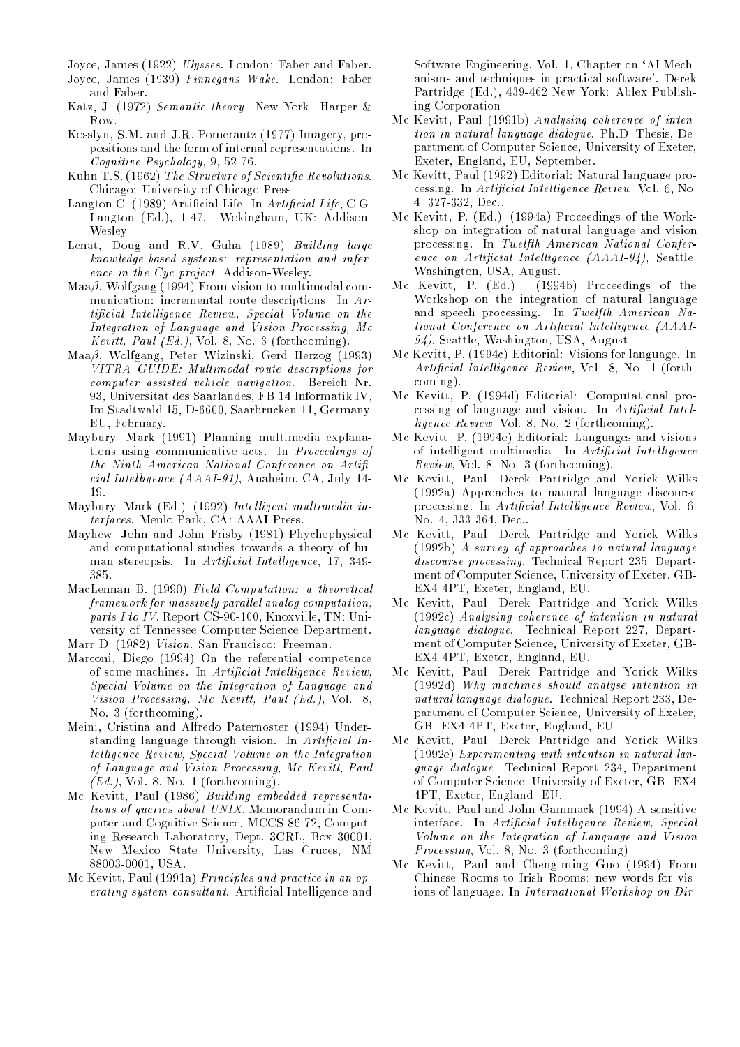- Joyce, James (1922) Ulysses. London: Faber and Faber.
- Joyce, James (1939) Finnegans Wake. London: Faber and Faber.
- Katz, J. (1972) Semantic theory. New York: Harper & Row.
- Kosslyn, S.M. and J.R. Pomerantz (1977) Imagery, propositions and the form of internal representations. In Cognitive Psychology, 9, 52-76.
- Kuhn T.S. (1962) The Structure of Scientific Revolutions. Chicago: University of Chicago Press.
- Langton C. (1989) Artificial Life. In Artificial Life, C.G. Langton (Ed.), 1-47. Wokingham, UK: Addison-Wesley.
- Lenat, Doug and R.V. Guha (1989) Building large know ledge-based systems: representation and inference in the Cyc project. Addison-Wesley.
- $\text{Ma} \alpha \beta$ , Wolfgang (1994) From vision to multimodal communication: incremental route descriptions. In Artificial Intelligence Review, Special Volume on the Integration of Language and Vision Processing, Mc Kevitt, Paul (Ed.), Vol. 8, No. 3 (forthcoming).
- Maa $\beta$ , Wolfgang, Peter Wizinski, Gerd Herzog (1993) VITRA GUIDE: Multimodal route descriptions for computer assisted vehicle navigation. Bereich Nr. 93, Universitat des Saarlandes, FB 14 Informatik IV, Im Stadtwald 15, D-6600, Saarbrucken 11, Germany, EU, February.
- Maybury, Mark (1991) Planning multimedia explanations using communicative acts. In Proceedings of  $the \ Ninth \ American \ National \ Conference \ on \ Artif$ cial Intelligence  $(AAAI-91)$ , Anaheim, CA, July 14-19
- Maybury, Mark (Ed.) (1992) Intelligent multimedia interfaces. Menlo Park, CA: AAAI Press.
- Mayhew, John and John Frisby (1981) Phychophysical and computational studies towards a theory of human stereopsis. In Artificial Intelligence, 17, 349-385.
- MacLennan B. (1990) Field Computation: a theoretical framework for massively paral lel analog computation; parts I to IV. Report CS-90-100, Knoxville, TN: University of Tennessee Computer Science Department.

Marr D. (1982) Vision. San Francisco: Freeman.

- Marconi, Diego (1994) On the referential competence of some machines. In Artificial Intelligence Review, Special Volume on the Integration of Language and Vision Processing, Mc Kevitt, Paul (Ed.), Vol. 8, No. 3 (forthcoming).
- Meini, Cristina and Alfredo Paternoster (1994) Understanding language through vision. In Artificial Intelligence Review, Special Volume on the Integration of Language and Vision Processing, Mc Kevitt, Paul  $(Ed.),$  Vol. 8, No. 1 (forthcoming).
- Mc Kevitt, Paul (1986) Building embedded representations of queries about UNIX. Memorandum in Computer and Cognitive Science, MCCS-86-72, Computing Research Laboratory, Dept. 3CRL, Box 30001, New Mexico State University, Las Cruces, NM 88003-0001, USA.
- Mc Kevitt, Paul (1991a) Principles and practice in an operating system consultant. Articial Intelligence and

Software Engineering, Vol. 1, Chapter on `AI Mechanisms and techniques in practical software'. Derek Partridge (Ed.), 439-462 New York: Ablex Publishing Corporation

- Mc Kevitt, Paul (1991b) Analysing coherence of intention in natural-language dialogue. Ph.D. Thesis, Department of Computer Science, University of Exeter, Exeter, England, EU, September.
- Mc Kevitt, Paul (1992) Editorial: Natural language processing. In Artificial Intelligence Review, Vol. 6, No. 4, 327-332, Dec..
- Mc Kevitt, P. (Ed.) (1994a) Proceedings of the Workshop on integration of natural language and vision processing. In Twelfth American National Conference on Artificial Intelligence  $(AAAI-94)$ , Seattle, Washington, USA, August.
- Mc Kevitt, P. (Ed.) (1994b) Proceedings of the Workshop on the integration of natural language and speech processing. In Twelfth American National Conference on Artificial Intelligence (AAAI-94), Seattle, Washington, USA, August.
- Mc Kevitt, P. (1994c) Editorial: Visions for language. In Artificial Intelligence Review, Vol. 8, No. 1 (forth $comine$ ). coming).
- Mc Kevitt, P. (1994d) Editorial: Computational processing of language and vision. In Artificial Intelligence Review, Vol. 8, No. 2 (forthcoming).
- Mc Kevitt, P. (1994e) Editorial: Languages and visions of intelligent multimedia. In Artificial Intelligence Review, Vol. 8, No. 3 (forthcoming).
- Mc Kevitt, Paul, Derek Partridge and Yorick Wilks (1992a) Approaches to natural language discourse processing. In Artificial Intelligence Review, Vol. 6, No. 4, 333-364, Dec..
- Mc Kevitt, Paul, Derek Partridge and Yorick Wilks (1992b) A survey of approaches to natural language discourse processing. Technical Report 235, Department of Computer Science, University of Exeter, GB-EX4 4PT, Exeter, England, EU.
- Mc Kevitt, Paul, Derek Partridge and Yorick Wilks (1992c) Analysing coherence of intention in natural language dialogue. Technical Report 227, Department of Computer Science, University of Exeter, GB-EX4 4PT, Exeter, England, EU.
- Mc Kevitt, Paul, Derek Partridge and Yorick Wilks (1992d) Why machines should analyse intention in natural language dialogue. Technical Report 233, Department of Computer Science, University of Exeter, GB- EX4 4PT, Exeter, England, EU.
- Mc Kevitt, Paul, Derek Partridge and Yorick Wilks (1992e) Experimenting with intention in natural language dialogue. Technical Report 234, Department of Computer Science, University of Exeter, GB- EX4 4PT, Exeter, England, EU.
- Mc Kevitt, Paul and John Gammack (1994) A sensitive interface. In Artificial Intelligence Review, Special Volume on the Integration of Language and Vision Processing, Vol. 8, No. 3 (forthcoming).
- Mc Kevitt, Paul and Cheng-ming Guo (1994) From Chinese Rooms to Irish Rooms: new words for visions of language. In International Workshop on Dir-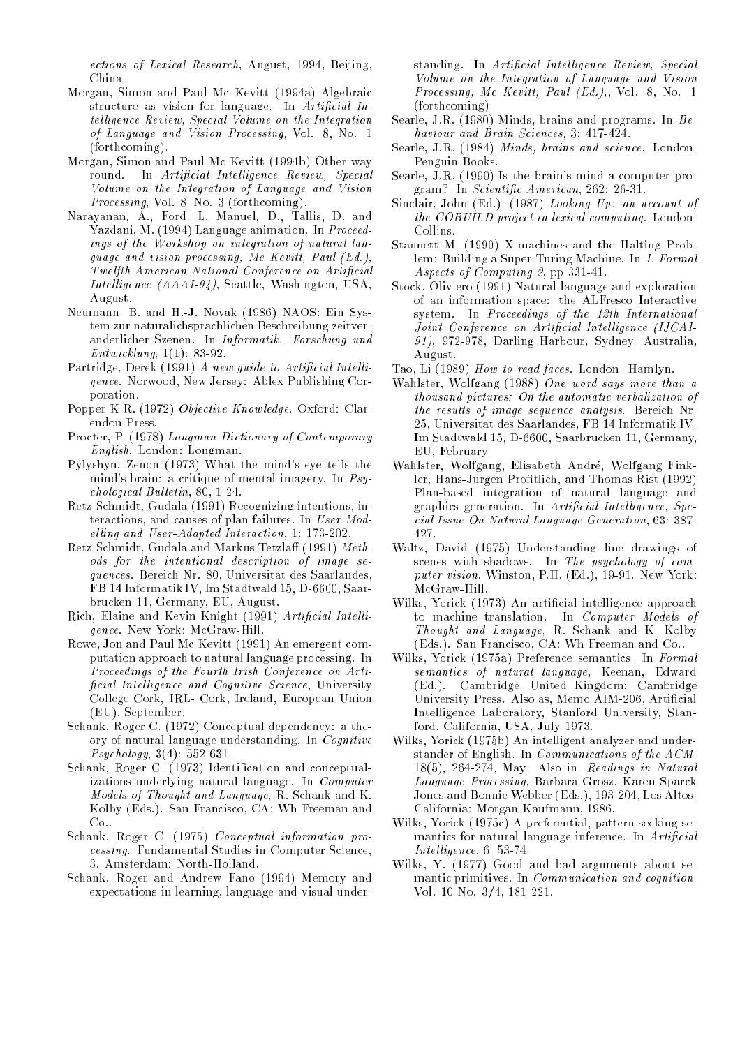ections of Lexical Research, August, 1994, Beijing, China.

- Morgan, Simon and Paul Mc Kevitt (1994a) Algebraic structure as vision for language. In Artificial Intelligence Review, Special Volume on the Integration of Language and Vision Processing, Vol. 8, No. 1 (forthcoming).
- Morgan, Simon and Paul Mc Kevitt (1994b) Other way round. In Artificial Intelligence Review, Special Volume on the Integration of Language and Vision Processing, Vol. 8, No. 3 (forthcoming).
- Narayanan, A., Ford, L. Manuel, D., Tallis, D. and Yazdani, M. (1994) Language animation. In Proceedings of the Workshop on integration of natural language and vision processing, Mc Kevitt, Paul (Ed.), Twelfth American National Conference on Articial Intelligence  $(AAAI-94)$ , Seattle, Washington, USA, August.
- Neumann, B. and H.-J. Novak (1986) NAOS: Ein System zur naturalichsprachlichen Beschreibung zeitveranderlicher Szenen. In Informatik. Forschung und  $Entwicklung, 1(1): 83-92.$
- Partridge, Derek (1991) A new guide to Artificial Intelligence. Norwood, New Jersey: Ablex Publishing Corporation.
- Popper K.R. (1972) Objective Knowledge. Oxford: Clarendon Press.
- Procter, P. (1978) Longman Dictionary of Contemporary English. London: Longman.
- Pylyshyn, Zenon (1973) What the mind's eye tells the mind's brain: a critique of mental imagery. In Psy $chological$  Bulletin, 80, 1-24.
- Retz-Schmidt, Gudala (1991) Recognizing intentions, interactions, and causes of plan failures. In User Model ling and User-Adapted Interaction, 1: 173-202.
- Retz-Schmidt, Gudala and Markus Tetzlaff (1991) Methods for the intentional description of image sequences. Bereich Nr. 80, Universitat des Saarlandes, FB 14 Informatik IV, Im Stadtwald 15, D-6600, Saarbrucken 11, Germany, EU, August.
- Rich, Elaine and Kevin Knight (1991) Artificial Intelligence. New York: McGraw-Hill.
- Rowe, Jon and Paul Mc Kevitt (1991) An emergent computation approach to natural language processing. In Proceedings of the Fourth Irish Conference on Arti ficial Intelligence and Cognitive Science, University College Cork, IRL- Cork, Ireland, European Union (EU), September.
- Schank, Roger C. (1972) Conceptual dependency: a theory of natural language understanding. In Cognitive Psychology, 3(4): 552-631.
- Schank, Roger C. (1973) Identification and conceptualizations underlying natural language. In Computer Models of Thought and Language, R. Schank and K. Kolby (Eds.). San Francisco, CA: Wh Freeman and Co..
- Schank, Roger C. (1975) Conceptual information processing. Fundamental Studies in Computer Science, 3. Amsterdam: North-Holland.
- Schank, Roger and Andrew Fano (1994) Memory and expectations in learning, language and visual under-

standing. In Artificial Intelligence Review, Special Volume on the Integration of Language and Vision Processing, Mc Kevitt, Paul (Ed.),, Vol. 8, No. 1 (forthcoming).

- Searle, J.R. (1980) Minds, brains and programs. In  $Be$ haviour and Brain Sciences, 3: 417-424.
- Searle, J.R. (1984) Minds, brains and science. London: Penguin Books. Penguin Books.
- Searle, J.R. (1990) Is the brain's mind a computer program?. In Scientic American, 262: 26-31.
- Sinclair, John (Ed.) (1987) Looking Up: an account of the COBUILD project in lexical computing. London: Collins.
- Stannett M. (1990) X-machines and the Halting Problem: Building a Super-Turing Machine. In J. Formal Aspects of Computing 2, pp 331-41.
- Stock, Oliviero (1991) Natural language and exploration of an information space: the ALFresco Interactive system. In Proceedings of the 12th International Joint Conference on Artificial Intelligence (IJCAI-91), 972-978, Darling Harbour, Sydney, Australia, August. August.
- Tao, Li (1989) How to read faces. London: Hamlyn.
- Wahlster, Wolfgang (1988) One word says more than a thousand pictures: On the automatic verbalization of the results of image sequence analysis. Bereich Nr. 25, Universitat des Saarlandes, FB 14 Informatik IV, Im Stadtwald 15, D-6600, Saarbrucken 11, Germany, EU, February.
- Wahlster, Wolfgang, Elisabeth Andre, Wolfgang Finkler, Hans-Jurgen Protlich, and Thomas Rist (1992) Plan-based integration of natural language and graphics generation. In Artificial Intelligence,  $Spe$ cial Issue On Natural Language Generation, 63: 387- 427.
- Waltz, David (1975) Understanding line drawings of scenes with shadows. In The psychology of computer vision, Winston, P.H. (Ed.), 19-91. New York: McGraw-Hill.
- Wilks, Yorick (1973) An articial intelligence approach to machine translation. In Computer Models of Thought and Language, R. Schank and K. Kolby (Eds.). San Francisco, CA: Wh Freeman and Co..
- Wilks, Yorick (1975a) Preference semantics. In Formal semantics of natural language, Keenan, Edward (Ed.). Cambridge, United Kingdom: Cambridge University Press. Also as, Memo AIM-206, Articial Intelligence Laboratory, Stanford University, Stanford, California, USA, July 1973.
- Wilks, Yorick (1975b) An intelligent analyzer and understander of English. In Communications of the ACM, 18(5), 264-274, May. Also in, Readings in Natural Language Processing, Barbara Grosz, Karen Sparck Jones and Bonnie Webber (Eds.), 193-204, Los Altos, California: Morgan Kaufmann, 1986.
- Wilks, Yorick (1975c) A preferential, pattern-seeking semantics for natural language inference. In Artificial  $Intelligence, 6, 53-74.$
- Wilks, Y. (1977) Good and bad arguments about semantic primitives. In *Communication and cognition*, Vol. 10 No. 3/4, 181-221.